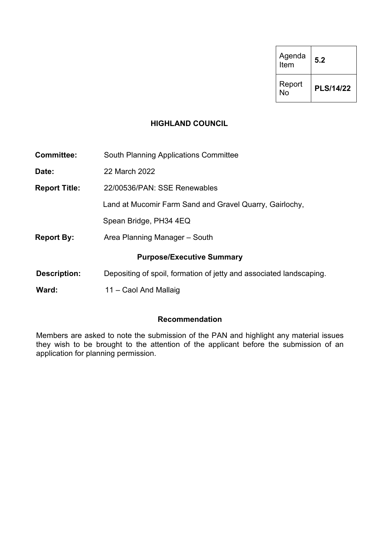| Agenda<br>Item | 5.2              |
|----------------|------------------|
| Report<br>No   | <b>PLS/14/22</b> |

# **HIGHLAND COUNCIL**

| <b>Committee:</b>    | <b>South Planning Applications Committee</b>                        |
|----------------------|---------------------------------------------------------------------|
| Date:                | 22 March 2022                                                       |
| <b>Report Title:</b> | 22/00536/PAN: SSE Renewables                                        |
|                      | Land at Mucomir Farm Sand and Gravel Quarry, Gairlochy,             |
|                      | Spean Bridge, PH34 4EQ                                              |
| <b>Report By:</b>    | Area Planning Manager – South                                       |
|                      | <b>Purpose/Executive Summary</b>                                    |
| <b>Description:</b>  | Depositing of spoil, formation of jetty and associated landscaping. |
| Ward:                | 11 – Caol And Mallaig                                               |

# **Recommendation**

Members are asked to note the submission of the PAN and highlight any material issues they wish to be brought to the attention of the applicant before the submission of an application for planning permission.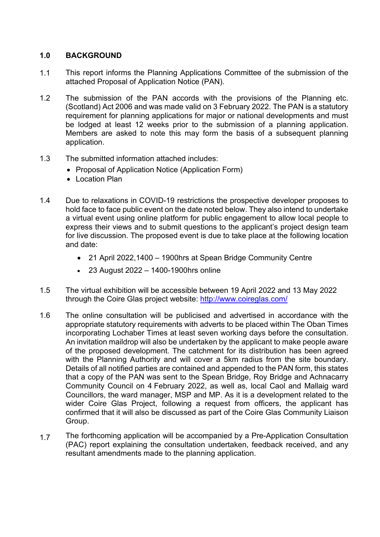## **1.0 BACKGROUND**

- 1.1 This report informs the Planning Applications Committee of the submission of the attached Proposal of Application Notice (PAN).
- 1.2 The submission of the PAN accords with the provisions of the Planning etc. (Scotland) Act 2006 and was made valid on 3 February 2022. The PAN is a statutory requirement for planning applications for major or national developments and must be lodged at least 12 weeks prior to the submission of a planning application. Members are asked to note this may form the basis of a subsequent planning application.
- 1.3 The submitted information attached includes:
	- Proposal of Application Notice (Application Form)
	- Location Plan
- 1.4 Due to relaxations in COVID-19 restrictions the prospective developer proposes to hold face to face public event on the date noted below. They also intend to undertake a virtual event using online platform for public engagement to allow local people to express their views and to submit questions to the applicant's project design team for live discussion. The proposed event is due to take place at the following location and date:
	- 21 April 2022,1400 1900hrs at Spean Bridge Community Centre
	- 23 August 2022 1400-1900hrs online
- 1.5 The virtual exhibition will be accessible between 19 April 2022 and 13 May 2022 through the Coire Glas project website: http://www.coireglas.com/
- 1.6 The online consultation will be publicised and advertised in accordance with the appropriate statutory requirements with adverts to be placed within The Oban Times incorporating Lochaber Times at least seven working days before the consultation. An invitation maildrop will also be undertaken by the applicant to make people aware of the proposed development. The catchment for its distribution has been agreed with the Planning Authority and will cover a 5km radius from the site boundary. Details of all notified parties are contained and appended to the PAN form, this states that a copy of the PAN was sent to the Spean Bridge, Roy Bridge and Achnacarry Community Council on 4 February 2022, as well as, local Caol and Mallaig ward Councillors, the ward manager, MSP and MP. As it is a development related to the wider Coire Glas Project, following a request from officers, the applicant has confirmed that it will also be discussed as part of the Coire Glas Community Liaison Group.
- 1.7 The forthcoming application will be accompanied by a Pre-Application Consultation (PAC) report explaining the consultation undertaken, feedback received, and any resultant amendments made to the planning application.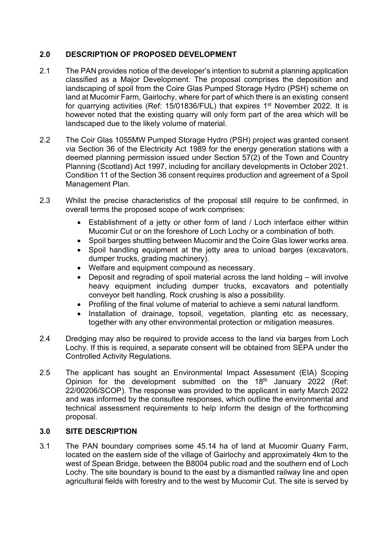# **2.0 DESCRIPTION OF PROPOSED DEVELOPMENT**

- 2.1 The PAN provides notice of the developer's intention to submit a planning application classified as a Major Development. The proposal comprises the deposition and landscaping of spoil from the Coire Glas Pumped Storage Hydro (PSH) scheme on land at Mucomir Farm, Gairlochy, where for part of which there is an existing consent for quarrying activities (Ref: 15/01836/FUL) that expires 1<sup>st</sup> November 2022. It is however noted that the existing quarry will only form part of the area which will be landscaped due to the likely volume of material.
- 2.2 The Coir Glas 1055MW Pumped Storage Hydro (PSH) project was granted consent via Section 36 of the Electricity Act 1989 for the energy generation stations with a deemed planning permission issued under Section 57(2) of the Town and Country Planning (Scotland) Act 1997, including for ancillary developments in October 2021. Condition 11 of the Section 36 consent requires production and agreement of a Spoil Management Plan.
- 2.3 Whilst the precise characteristics of the proposal still require to be confirmed, in overall terms the proposed scope of work comprises:
	- Establishment of a jetty or other form of land / Loch interface either within Mucomir Cut or on the foreshore of Loch Lochy or a combination of both.
	- Spoil barges shuttling between Mucomir and the Coire Glas lower works area.
	- Spoil handling equipment at the jetty area to unload barges (excavators, dumper trucks, grading machinery).
	- Welfare and equipment compound as necessary.
	- Deposit and regrading of spoil material across the land holding will involve heavy equipment including dumper trucks, excavators and potentially conveyor belt handling. Rock crushing is also a possibility.
	- Profiling of the final volume of material to achieve a semi natural landform.
	- Installation of drainage, topsoil, vegetation, planting etc as necessary, together with any other environmental protection or mitigation measures.
- 2.4 Dredging may also be required to provide access to the land via barges from Loch Lochy. If this is required, a separate consent will be obtained from SEPA under the Controlled Activity Regulations.
- 2.5 The applicant has sought an Environmental Impact Assessment (EIA) Scoping Opinion for the development submitted on the 18th January 2022 (Ref: 22/00206/SCOP). The response was provided to the applicant in early March 2022 and was informed by the consultee responses, which outline the environmental and technical assessment requirements to help inform the design of the forthcoming proposal.

# **3.0 SITE DESCRIPTION**

3.1 The PAN boundary comprises some 45.14 ha of land at Mucomir Quarry Farm, located on the eastern side of the village of Gairlochy and approximately 4km to the west of Spean Bridge, between the B8004 public road and the southern end of Loch Lochy. The site boundary is bound to the east by a dismantled railway line and open agricultural fields with forestry and to the west by Mucomir Cut. The site is served by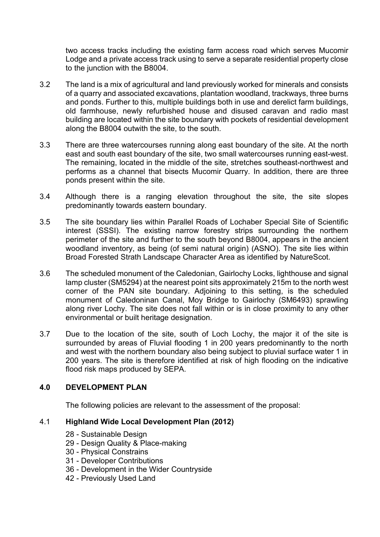two access tracks including the existing farm access road which serves Mucomir Lodge and a private access track using to serve a separate residential property close to the junction with the B8004.

- 3.2 The land is a mix of agricultural and land previously worked for minerals and consists of a quarry and associated excavations, plantation woodland, trackways, three burns and ponds. Further to this, multiple buildings both in use and derelict farm buildings, old farmhouse, newly refurbished house and disused caravan and radio mast building are located within the site boundary with pockets of residential development along the B8004 outwith the site, to the south.
- 3.3 There are three watercourses running along east boundary of the site. At the north east and south east boundary of the site, two small watercourses running east-west. The remaining, located in the middle of the site, stretches southeast-northwest and performs as a channel that bisects Mucomir Quarry. In addition, there are three ponds present within the site.
- 3.4 Although there is a ranging elevation throughout the site, the site slopes predominantly towards eastern boundary.
- 3.5 The site boundary lies within Parallel Roads of Lochaber Special Site of Scientific interest (SSSI). The existing narrow forestry strips surrounding the northern perimeter of the site and further to the south beyond B8004, appears in the ancient woodland inventory, as being (of semi natural origin) (ASNO). The site lies within Broad Forested Strath Landscape Character Area as identified by NatureScot.
- 3.6 The scheduled monument of the Caledonian, Gairlochy Locks, lighthouse and signal lamp cluster (SM5294) at the nearest point sits approximately 215m to the north west corner of the PAN site boundary. Adjoining to this setting, is the scheduled monument of Caledoninan Canal, Moy Bridge to Gairlochy (SM6493) sprawling along river Lochy. The site does not fall within or is in close proximity to any other environmental or built heritage designation.
- 3.7 Due to the location of the site, south of Loch Lochy, the major it of the site is surrounded by areas of Fluvial flooding 1 in 200 years predominantly to the north and west with the northern boundary also being subject to pluvial surface water 1 in 200 years. The site is therefore identified at risk of high flooding on the indicative flood risk maps produced by SEPA.

## **4.0 DEVELOPMENT PLAN**

The following policies are relevant to the assessment of the proposal:

## 4.1 **Highland Wide Local Development Plan (2012)**

- 28 Sustainable Design
- 29 Design Quality & Place-making
- 30 Physical Constrains
- 31 Developer Contributions
- 36 Development in the Wider Countryside
- 42 Previously Used Land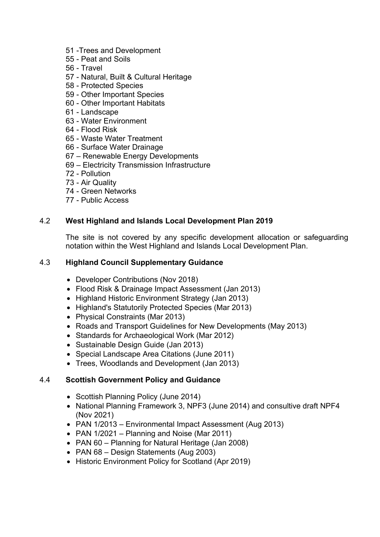- 51 -Trees and Development
- 55 Peat and Soils
- 56 Travel
- 57 Natural, Built & Cultural Heritage
- 58 Protected Species
- 59 Other Important Species
- 60 Other Important Habitats
- 61 Landscape
- 63 Water Environment
- 64 Flood Risk
- 65 Waste Water Treatment
- 66 Surface Water Drainage
- 67 Renewable Energy Developments
- 69 Electricity Transmission Infrastructure
- 72 Pollution
- 73 Air Quality
- 74 Green Networks
- 77 Public Access

## 4.2 **West Highland and Islands Local Development Plan 2019**

The site is not covered by any specific development allocation or safeguarding notation within the West Highland and Islands Local Development Plan.

## 4.3 **Highland Council Supplementary Guidance**

- Developer Contributions (Nov 2018)
- Flood Risk & Drainage Impact Assessment (Jan 2013)
- Highland Historic Environment Strategy (Jan 2013)
- Highland's Statutorily Protected Species (Mar 2013)
- Physical Constraints (Mar 2013)
- Roads and Transport Guidelines for New Developments (May 2013)
- Standards for Archaeological Work (Mar 2012)
- Sustainable Design Guide (Jan 2013)
- Special Landscape Area Citations (June 2011)
- Trees, Woodlands and Development (Jan 2013)

#### 4.4 **Scottish Government Policy and Guidance**

- Scottish Planning Policy (June 2014)
- National Planning Framework 3, NPF3 (June 2014) and consultive draft NPF4 (Nov 2021)
- PAN 1/2013 Environmental Impact Assessment (Aug 2013)
- PAN 1/2021 Planning and Noise (Mar 2011)
- PAN 60 Planning for Natural Heritage (Jan 2008)
- PAN 68 Design Statements (Aug 2003)
- Historic Environment Policy for Scotland (Apr 2019)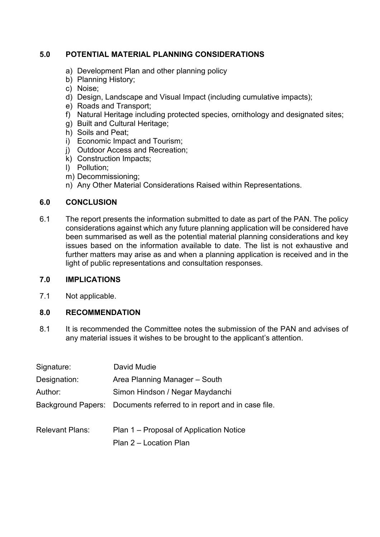# **5.0 POTENTIAL MATERIAL PLANNING CONSIDERATIONS**

- a) Development Plan and other planning policy
- b) Planning History;
- c) Noise;
- d) Design, Landscape and Visual Impact (including cumulative impacts);
- e) Roads and Transport;
- f) Natural Heritage including protected species, ornithology and designated sites;
- g) Built and Cultural Heritage;
- h) Soils and Peat;
- i) Economic Impact and Tourism;
- j) Outdoor Access and Recreation;
- k) Construction Impacts;
- l) Pollution;
- m) Decommissioning;
- n) Any Other Material Considerations Raised within Representations.

## **6.0 CONCLUSION**

6.1 The report presents the information submitted to date as part of the PAN. The policy considerations against which any future planning application will be considered have been summarised as well as the potential material planning considerations and key issues based on the information available to date. The list is not exhaustive and further matters may arise as and when a planning application is received and in the light of public representations and consultation responses.

## **7.0 IMPLICATIONS**

7.1 Not applicable.

# **8.0 RECOMMENDATION**

8.1 It is recommended the Committee notes the submission of the PAN and advises of any material issues it wishes to be brought to the applicant's attention.

| Signature:             | David Mudie                                                          |
|------------------------|----------------------------------------------------------------------|
| Designation:           | Area Planning Manager - South                                        |
| Author:                | Simon Hindson / Negar Maydanchi                                      |
|                        | Background Papers: Documents referred to in report and in case file. |
| <b>Relevant Plans:</b> | Plan 1 – Proposal of Application Notice<br>Plan 2 – Location Plan    |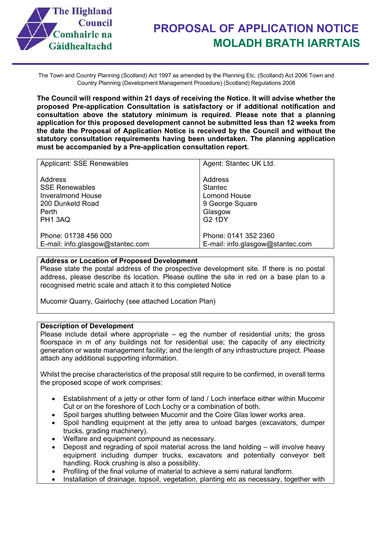

The Town and Country Planning (Scotland) Act 1997 as amended by the Planning Etc. (Scotland) Act 2006 Town and Country Planning (Development Management Procedure) (Scotland) Regulations 2008

**The Council will respond within 21 days of receiving the Notice. It will advise whether the proposed Pre-application Consultation is satisfactory or if additional notification and consultation above the statutory minimum is required. Please note that a planning application for this proposed development cannot be submitted less than 12 weeks from the date the Proposal of Application Notice is received by the Council and without the statutory consultation requirements having been undertaken. The planning application must be accompanied by a Pre-application consultation report.**

| <b>Applicant: SSE Renewables</b> | Agent: Stantec UK Ltd.           |
|----------------------------------|----------------------------------|
| Address                          | Address                          |
| <b>SSE Renewables</b>            | <b>Stantec</b>                   |
| Inveralmond House                | <b>Lomond House</b>              |
| 200 Dunkeld Road                 | 9 George Square                  |
| Perth                            | Glasgow                          |
| PH1 3AQ                          | <b>G2 1DY</b>                    |
| Phone: 01738 456 000             | Phone: 0141 352 2360             |
| E-mail: info.glasgow@stantec.com | E-mail: info.glasgow@stantec.com |

#### **Address or Location of Proposed Development**

Please state the postal address of the prospective development site. If there is no postal address, please describe its location. Please outline the site in red on a base plan to a recognised metric scale and attach it to this completed Notice

Mucomir Quarry, Gairlochy (see attached Location Plan)

#### **Description of Development**

Please include detail where appropriate  $-$  eg the number of residential units; the gross floorspace in m of any buildings not for residential use; the capacity of any electricity generation or waste management facility; and the length of any infrastructure project. Please attach any additional supporting information.

Whilst the precise characteristics of the proposal still require to be confirmed, in overall terms the proposed scope of work comprises:

- Establishment of a jetty or other form of land / Loch interface either within Mucomir Cut or on the foreshore of Loch Lochy or a combination of both.
- Spoil barges shuttling between Mucomir and the Coire Glas lower works area.
- Spoil handling equipment at the jetty area to unload barges (excavators, dumper trucks, grading machinery).
- Welfare and equipment compound as necessary.
- Deposit and regrading of spoil material across the land holding will involve heavy equipment including dumper trucks, excavators and potentially conveyor belt handling. Rock crushing is also a possibility.
- Profiling of the final volume of material to achieve a semi natural landform.
- Installation of drainage, topsoil, vegetation, planting etc as necessary, together with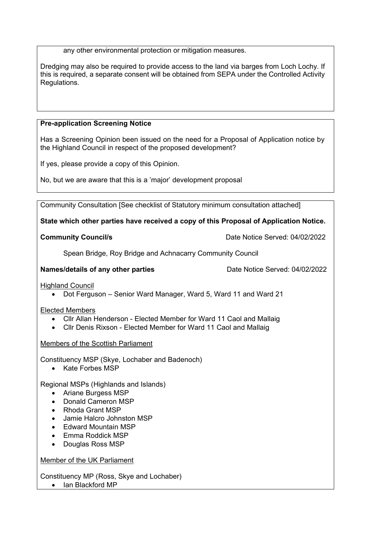any other environmental protection or mitigation measures.

Dredging may also be required to provide access to the land via barges from Loch Lochy. If this is required, a separate consent will be obtained from SEPA under the Controlled Activity Regulations.

#### **Pre-application Screening Notice**

Has a Screening Opinion been issued on the need for a Proposal of Application notice by the Highland Council in respect of the proposed development?

If yes, please provide a copy of this Opinion.

No, but we are aware that this is a 'major' development proposal

Community Consultation [See checklist of Statutory minimum consultation attached]

**State which other parties have received a copy of this Proposal of Application Notice.**

**Community Council/s Community Council/s Date Notice Served: 04/02/2022** 

Spean Bridge, Roy Bridge and Achnacarry Community Council

**Names/details of any other parties** Date Notice Served: 04/02/2022

Highland Council

• Dot Ferguson – Senior Ward Manager, Ward 5, Ward 11 and Ward 21

Elected Members

- Cllr Allan Henderson Elected Member for Ward 11 Caol and Mallaig
- Cllr Denis Rixson Elected Member for Ward 11 Caol and Mallaig

Members of the Scottish Parliament

Constituency MSP (Skye, Lochaber and Badenoch)

• Kate Forbes MSP

Regional MSPs (Highlands and Islands)

- Ariane Burgess MSP
- Donald Cameron MSP
- Rhoda Grant MSP
- Jamie Halcro Johnston MSP
- Edward Mountain MSP
- Emma Roddick MSP
- Douglas Ross MSP

Member of the UK Parliament

Constituency MP (Ross, Skye and Lochaber)

• Ian Blackford MP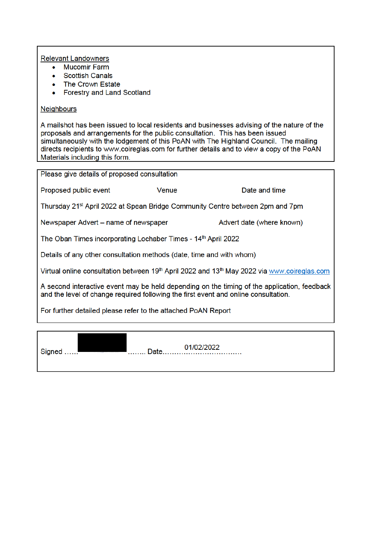#### **Relevant Landowners**

- **Mucomir Farm**  $\bullet$
- **Scottish Canals**  $\bullet$
- The Crown Estate  $\bullet$
- **Forestry and Land Scotland**  $\bullet$

## **Neighbours**

Signed ......

A mailshot has been issued to local residents and businesses advising of the nature of the proposals and arrangements for the public consultation. This has been issued simultaneously with the lodgement of this PoAN with The Highland Council. The mailing directs recipients to www.coireglas.com for further details and to view a copy of the PoAN Materials including this form.

| Please give details of proposed consultation                                                                                                                                       |       |                           |  |  |  |
|------------------------------------------------------------------------------------------------------------------------------------------------------------------------------------|-------|---------------------------|--|--|--|
| Proposed public event                                                                                                                                                              | Venue | Date and time             |  |  |  |
| Thursday 21 <sup>st</sup> April 2022 at Spean Bridge Community Centre between 2pm and 7pm                                                                                          |       |                           |  |  |  |
| Newspaper Advert – name of newspaper                                                                                                                                               |       | Advert date (where known) |  |  |  |
| The Oban Times incorporating Lochaber Times - 14th April 2022                                                                                                                      |       |                           |  |  |  |
| Details of any other consultation methods (date, time and with whom)                                                                                                               |       |                           |  |  |  |
| Virtual online consultation between 19th April 2022 and 13th May 2022 via www.coireglas.com                                                                                        |       |                           |  |  |  |
| A second interactive event may be held depending on the timing of the application, feedback<br>and the level of change required following the first event and online consultation. |       |                           |  |  |  |
| For further detailed please refer to the attached PoAN Report                                                                                                                      |       |                           |  |  |  |
|                                                                                                                                                                                    |       |                           |  |  |  |

-<br>1. . . . . . . . . .